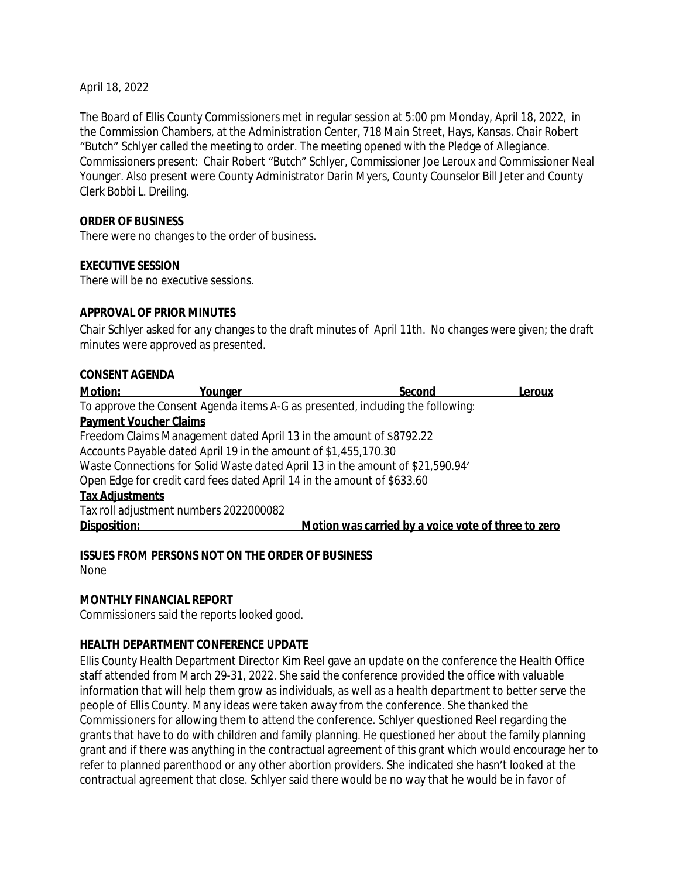April 18, 2022

The Board of Ellis County Commissioners met in regular session at 5:00 pm Monday, April 18, 2022, in the Commission Chambers, at the Administration Center, 718 Main Street, Hays, Kansas. Chair Robert "Butch" Schlyer called the meeting to order. The meeting opened with the Pledge of Allegiance. Commissioners present: Chair Robert "Butch" Schlyer, Commissioner Joe Leroux and Commissioner Neal Younger. Also present were County Administrator Darin Myers, County Counselor Bill Jeter and County Clerk Bobbi L. Dreiling.

### **ORDER OF BUSINESS**

There were no changes to the order of business.

### **EXECUTIVE SESSION**

There will be no executive sessions.

#### **APPROVAL OF PRIOR MINUTES**

Chair Schlyer asked for any changes to the draft minutes of April 11th. No changes were given; the draft minutes were approved as presented.

#### **CONSENT AGENDA**

| Motion:<br>Younger                                                             | Second                                              | Leroux |
|--------------------------------------------------------------------------------|-----------------------------------------------------|--------|
| To approve the Consent Agenda items A-G as presented, including the following: |                                                     |        |
| <b>Payment Voucher Claims</b>                                                  |                                                     |        |
| Freedom Claims Management dated April 13 in the amount of \$8792.22            |                                                     |        |
| Accounts Payable dated April 19 in the amount of \$1,455,170.30                |                                                     |        |
| Waste Connections for Solid Waste dated April 13 in the amount of \$21,590.94' |                                                     |        |
| Open Edge for credit card fees dated April 14 in the amount of \$633.60        |                                                     |        |
| <b>Tax Adjustments</b>                                                         |                                                     |        |
| Tax roll adjustment numbers 2022000082                                         |                                                     |        |
| Disposition:                                                                   | Motion was carried by a voice vote of three to zero |        |

**ISSUES FROM PERSONS NOT ON THE ORDER OF BUSINESS** None

### **MONTHLY FINANCIAL REPORT**

Commissioners said the reports looked good.

### **HEALTH DEPARTMENT CONFERENCE UPDATE**

Ellis County Health Department Director Kim Reel gave an update on the conference the Health Office staff attended from March 29-31, 2022. She said the conference provided the office with valuable information that will help them grow as individuals, as well as a health department to better serve the people of Ellis County. Many ideas were taken away from the conference. She thanked the Commissioners for allowing them to attend the conference. Schlyer questioned Reel regarding the grants that have to do with children and family planning. He questioned her about the family planning grant and if there was anything in the contractual agreement of this grant which would encourage her to refer to planned parenthood or any other abortion providers. She indicated she hasn't looked at the contractual agreement that close. Schlyer said there would be no way that he would be in favor of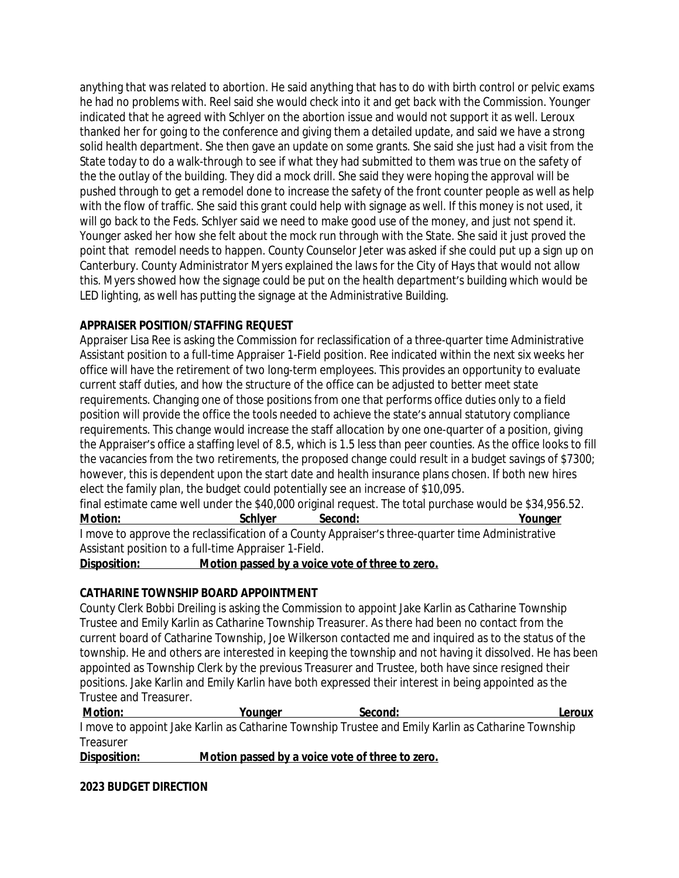anything that was related to abortion. He said anything that has to do with birth control or pelvic exams he had no problems with. Reel said she would check into it and get back with the Commission. Younger indicated that he agreed with Schlyer on the abortion issue and would not support it as well. Leroux thanked her for going to the conference and giving them a detailed update, and said we have a strong solid health department. She then gave an update on some grants. She said she just had a visit from the State today to do a walk-through to see if what they had submitted to them was true on the safety of the the outlay of the building. They did a mock drill. She said they were hoping the approval will be pushed through to get a remodel done to increase the safety of the front counter people as well as help with the flow of traffic. She said this grant could help with signage as well. If this money is not used, it will go back to the Feds. Schlyer said we need to make good use of the money, and just not spend it. Younger asked her how she felt about the mock run through with the State. She said it just proved the point that remodel needs to happen. County Counselor Jeter was asked if she could put up a sign up on Canterbury. County Administrator Myers explained the laws for the City of Hays that would not allow this. Myers showed how the signage could be put on the health department's building which would be LED lighting, as well has putting the signage at the Administrative Building.

# **APPRAISER POSITION/STAFFING REQUEST**

Appraiser Lisa Ree is asking the Commission for reclassification of a three-quarter time Administrative Assistant position to a full-time Appraiser 1-Field position. Ree indicated within the next six weeks her office will have the retirement of two long-term employees. This provides an opportunity to evaluate current staff duties, and how the structure of the office can be adjusted to better meet state requirements. Changing one of those positions from one that performs office duties only to a field position will provide the office the tools needed to achieve the state's annual statutory compliance requirements. This change would increase the staff allocation by one one-quarter of a position, giving the Appraiser's office a staffing level of 8.5, which is 1.5 less than peer counties. As the office looks to fill the vacancies from the two retirements, the proposed change could result in a budget savings of \$7300; however, this is dependent upon the start date and health insurance plans chosen. If both new hires elect the family plan, the budget could potentially see an increase of \$10,095.

final estimate came well under the \$40,000 original request. The total purchase would be \$34,956.52. **Motion: Schlyer Second: Younger** I move to approve the reclassification of a County Appraiser's three-quarter time Administrative Assistant position to a full-time Appraiser 1-Field.

**Disposition: Motion passed by a voice vote of three to zero.**

# **CATHARINE TOWNSHIP BOARD APPOINTMENT**

County Clerk Bobbi Dreiling is asking the Commission to appoint Jake Karlin as Catharine Township Trustee and Emily Karlin as Catharine Township Treasurer. As there had been no contact from the current board of Catharine Township, Joe Wilkerson contacted me and inquired as to the status of the township. He and others are interested in keeping the township and not having it dissolved. He has been appointed as Township Clerk by the previous Treasurer and Trustee, both have since resigned their positions. Jake Karlin and Emily Karlin have both expressed their interest in being appointed as the Trustee and Treasurer.

**Motion: Younger Second: Leroux** I move to appoint Jake Karlin as Catharine Township Trustee and Emily Karlin as Catharine Township **Treasurer** 

**Disposition: Motion passed by a voice vote of three to zero.**

**2023 BUDGET DIRECTION**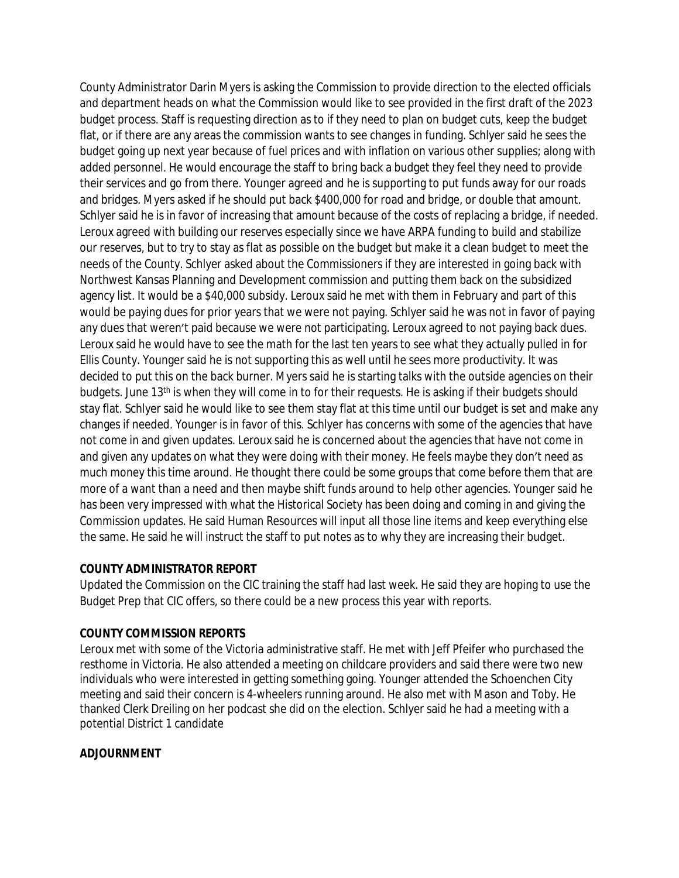County Administrator Darin Myers is asking the Commission to provide direction to the elected officials and department heads on what the Commission would like to see provided in the first draft of the 2023 budget process. Staff is requesting direction as to if they need to plan on budget cuts, keep the budget flat, or if there are any areas the commission wants to see changes in funding. Schlyer said he sees the budget going up next year because of fuel prices and with inflation on various other supplies; along with added personnel. He would encourage the staff to bring back a budget they feel they need to provide their services and go from there. Younger agreed and he is supporting to put funds away for our roads and bridges. Myers asked if he should put back \$400,000 for road and bridge, or double that amount. Schlyer said he is in favor of increasing that amount because of the costs of replacing a bridge, if needed. Leroux agreed with building our reserves especially since we have ARPA funding to build and stabilize our reserves, but to try to stay as flat as possible on the budget but make it a clean budget to meet the needs of the County. Schlyer asked about the Commissioners if they are interested in going back with Northwest Kansas Planning and Development commission and putting them back on the subsidized agency list. It would be a \$40,000 subsidy. Leroux said he met with them in February and part of this would be paying dues for prior years that we were not paying. Schlyer said he was not in favor of paying any dues that weren't paid because we were not participating. Leroux agreed to not paying back dues. Leroux said he would have to see the math for the last ten years to see what they actually pulled in for Ellis County. Younger said he is not supporting this as well until he sees more productivity. It was decided to put this on the back burner. Myers said he is starting talks with the outside agencies on their budgets. June 13th is when they will come in to for their requests. He is asking if their budgets should stay flat. Schlyer said he would like to see them stay flat at this time until our budget is set and make any changes if needed. Younger is in favor of this. Schlyer has concerns with some of the agencies that have not come in and given updates. Leroux said he is concerned about the agencies that have not come in and given any updates on what they were doing with their money. He feels maybe they don't need as much money this time around. He thought there could be some groups that come before them that are more of a want than a need and then maybe shift funds around to help other agencies. Younger said he has been very impressed with what the Historical Society has been doing and coming in and giving the Commission updates. He said Human Resources will input all those line items and keep everything else the same. He said he will instruct the staff to put notes as to why they are increasing their budget.

### **COUNTY ADMINISTRATOR REPORT**

Updated the Commission on the CIC training the staff had last week. He said they are hoping to use the Budget Prep that CIC offers, so there could be a new process this year with reports.

# **COUNTY COMMISSION REPORTS**

Leroux met with some of the Victoria administrative staff. He met with Jeff Pfeifer who purchased the resthome in Victoria. He also attended a meeting on childcare providers and said there were two new individuals who were interested in getting something going. Younger attended the Schoenchen City meeting and said their concern is 4-wheelers running around. He also met with Mason and Toby. He thanked Clerk Dreiling on her podcast she did on the election. Schlyer said he had a meeting with a potential District 1 candidate

### **ADJOURNMENT**